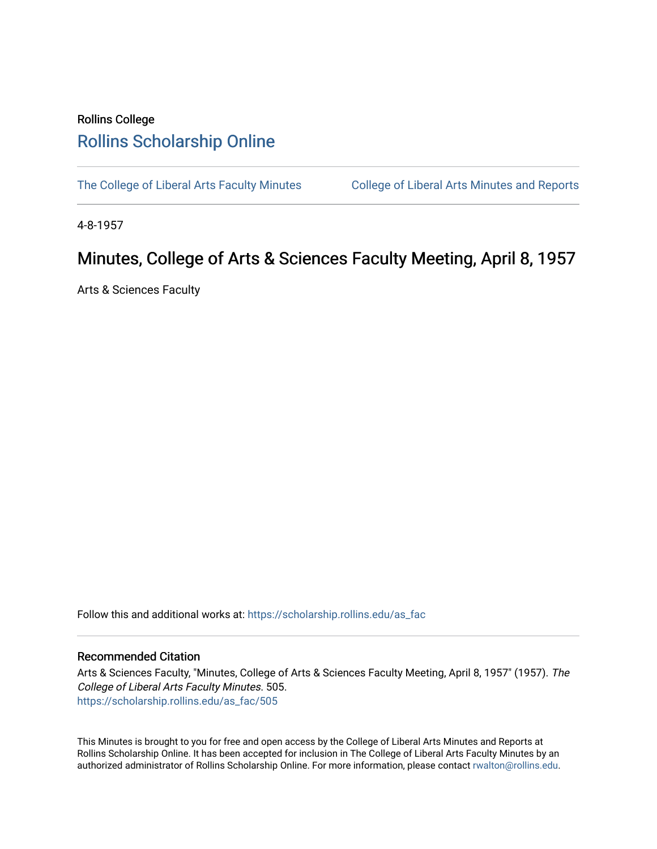## Rollins College [Rollins Scholarship Online](https://scholarship.rollins.edu/)

[The College of Liberal Arts Faculty Minutes](https://scholarship.rollins.edu/as_fac) College of Liberal Arts Minutes and Reports

4-8-1957

## Minutes, College of Arts & Sciences Faculty Meeting, April 8, 1957

Arts & Sciences Faculty

Follow this and additional works at: [https://scholarship.rollins.edu/as\\_fac](https://scholarship.rollins.edu/as_fac?utm_source=scholarship.rollins.edu%2Fas_fac%2F505&utm_medium=PDF&utm_campaign=PDFCoverPages) 

## Recommended Citation

Arts & Sciences Faculty, "Minutes, College of Arts & Sciences Faculty Meeting, April 8, 1957" (1957). The College of Liberal Arts Faculty Minutes. 505. [https://scholarship.rollins.edu/as\\_fac/505](https://scholarship.rollins.edu/as_fac/505?utm_source=scholarship.rollins.edu%2Fas_fac%2F505&utm_medium=PDF&utm_campaign=PDFCoverPages) 

This Minutes is brought to you for free and open access by the College of Liberal Arts Minutes and Reports at Rollins Scholarship Online. It has been accepted for inclusion in The College of Liberal Arts Faculty Minutes by an authorized administrator of Rollins Scholarship Online. For more information, please contact [rwalton@rollins.edu](mailto:rwalton@rollins.edu).